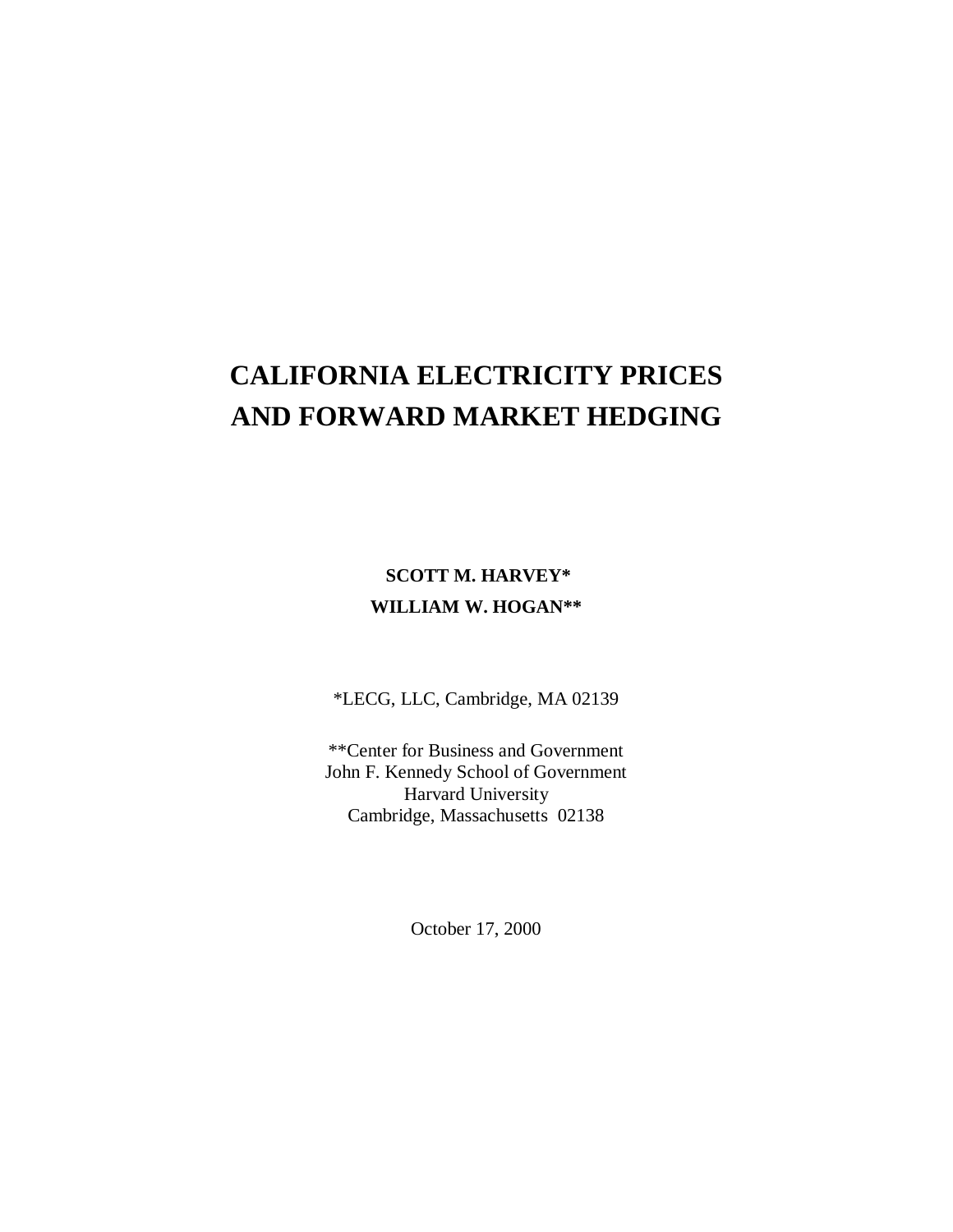# **CALIFORNIA ELECTRICITY PRICES AND FORWARD MARKET HEDGING**

# **SCOTT M. HARVEY\* WILLIAM W. HOGAN\*\***

\*LECG, LLC, Cambridge, MA 02139

\*\*Center for Business and Government John F. Kennedy School of Government Harvard University Cambridge, Massachusetts 02138

October 17, 2000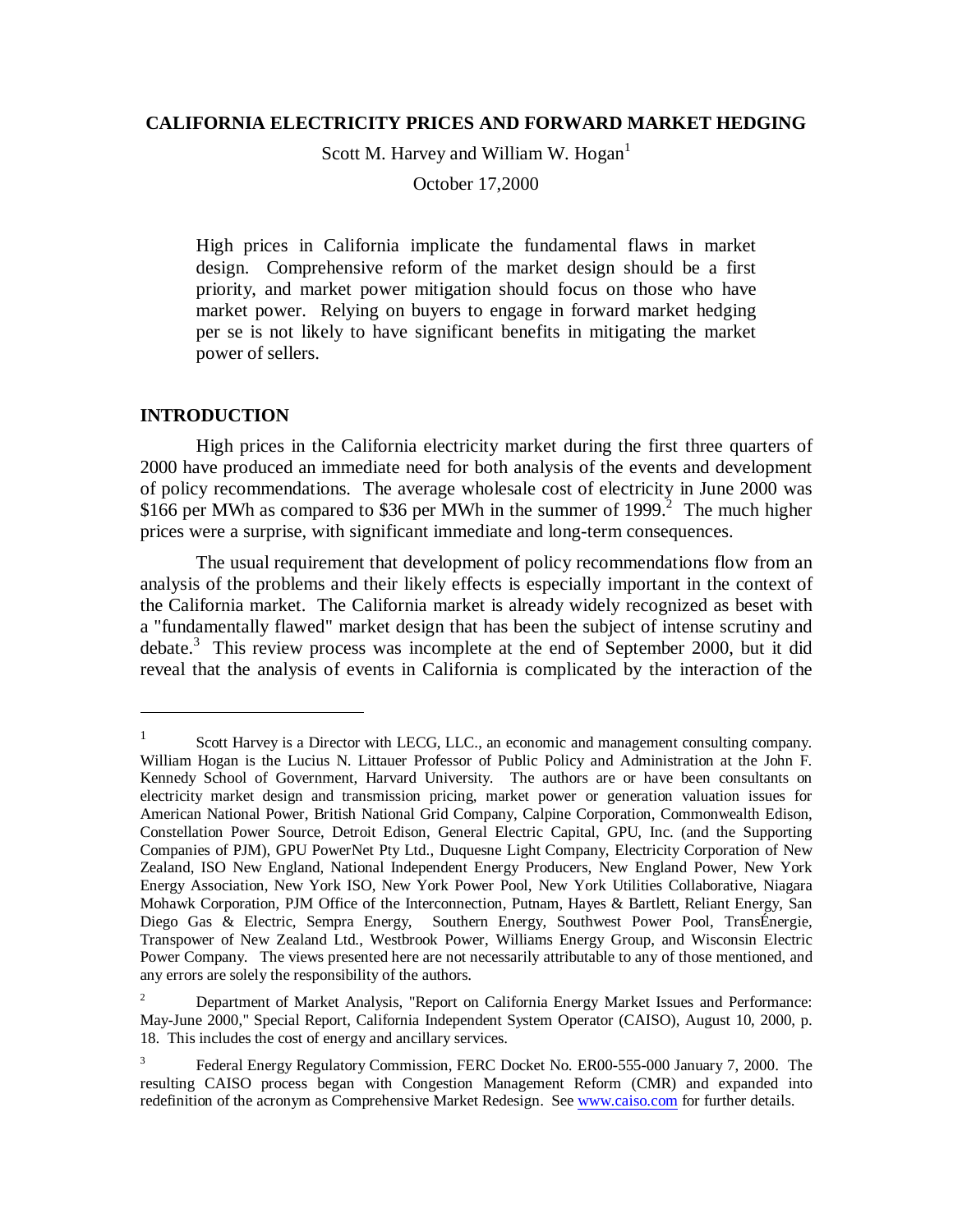### **CALIFORNIA ELECTRICITY PRICES AND FORWARD MARKET HEDGING**

Scott M. Harvey and William W. Hogan $<sup>1</sup>$ </sup>

October 17,2000

High prices in California implicate the fundamental flaws in market design. Comprehensive reform of the market design should be a first priority, and market power mitigation should focus on those who have market power. Relying on buyers to engage in forward market hedging per se is not likely to have significant benefits in mitigating the market power of sellers.

## **INTRODUCTION**

 $\overline{a}$ 

High prices in the California electricity market during the first three quarters of 2000 have produced an immediate need for both analysis of the events and development of policy recommendations. The average wholesale cost of electricity in June 2000 was \$166 per MWh as compared to \$36 per MWh in the summer of 1999.<sup>2</sup> The much higher prices were a surprise, with significant immediate and long-term consequences.

The usual requirement that development of policy recommendations flow from an analysis of the problems and their likely effects is especially important in the context of the California market. The California market is already widely recognized as beset with a "fundamentally flawed" market design that has been the subject of intense scrutiny and debate.<sup>3</sup> This review process was incomplete at the end of September 2000, but it did reveal that the analysis of events in California is complicated by the interaction of the

<sup>&</sup>lt;sup>1</sup> Scott Harvey is a Director with LECG, LLC., an economic and management consulting company. William Hogan is the Lucius N. Littauer Professor of Public Policy and Administration at the John F. Kennedy School of Government, Harvard University. The authors are or have been consultants on electricity market design and transmission pricing, market power or generation valuation issues for American National Power, British National Grid Company, Calpine Corporation, Commonwealth Edison, Constellation Power Source, Detroit Edison, General Electric Capital, GPU, Inc. (and the Supporting Companies of PJM), GPU PowerNet Pty Ltd., Duquesne Light Company, Electricity Corporation of New Zealand, ISO New England, National Independent Energy Producers, New England Power, New York Energy Association, New York ISO, New York Power Pool, New York Utilities Collaborative, Niagara Mohawk Corporation, PJM Office of the Interconnection, Putnam, Hayes & Bartlett, Reliant Energy, San Diego Gas & Electric, Sempra Energy, Southern Energy, Southwest Power Pool, TransÉnergie, Transpower of New Zealand Ltd., Westbrook Power, Williams Energy Group, and Wisconsin Electric Power Company. The views presented here are not necessarily attributable to any of those mentioned, and any errors are solely the responsibility of the authors.

<sup>2</sup> Department of Market Analysis, "Report on California Energy Market Issues and Performance: May-June 2000," Special Report, California Independent System Operator (CAISO), August 10, 2000, p. 18. This includes the cost of energy and ancillary services.

<sup>3</sup> Federal Energy Regulatory Commission, FERC Docket No. ER00-555-000 January 7, 2000. The resulting CAISO process began with Congestion Management Reform (CMR) and expanded into redefinition of the acronym as Comprehensive Market Redesign. See www.caiso.com for further details.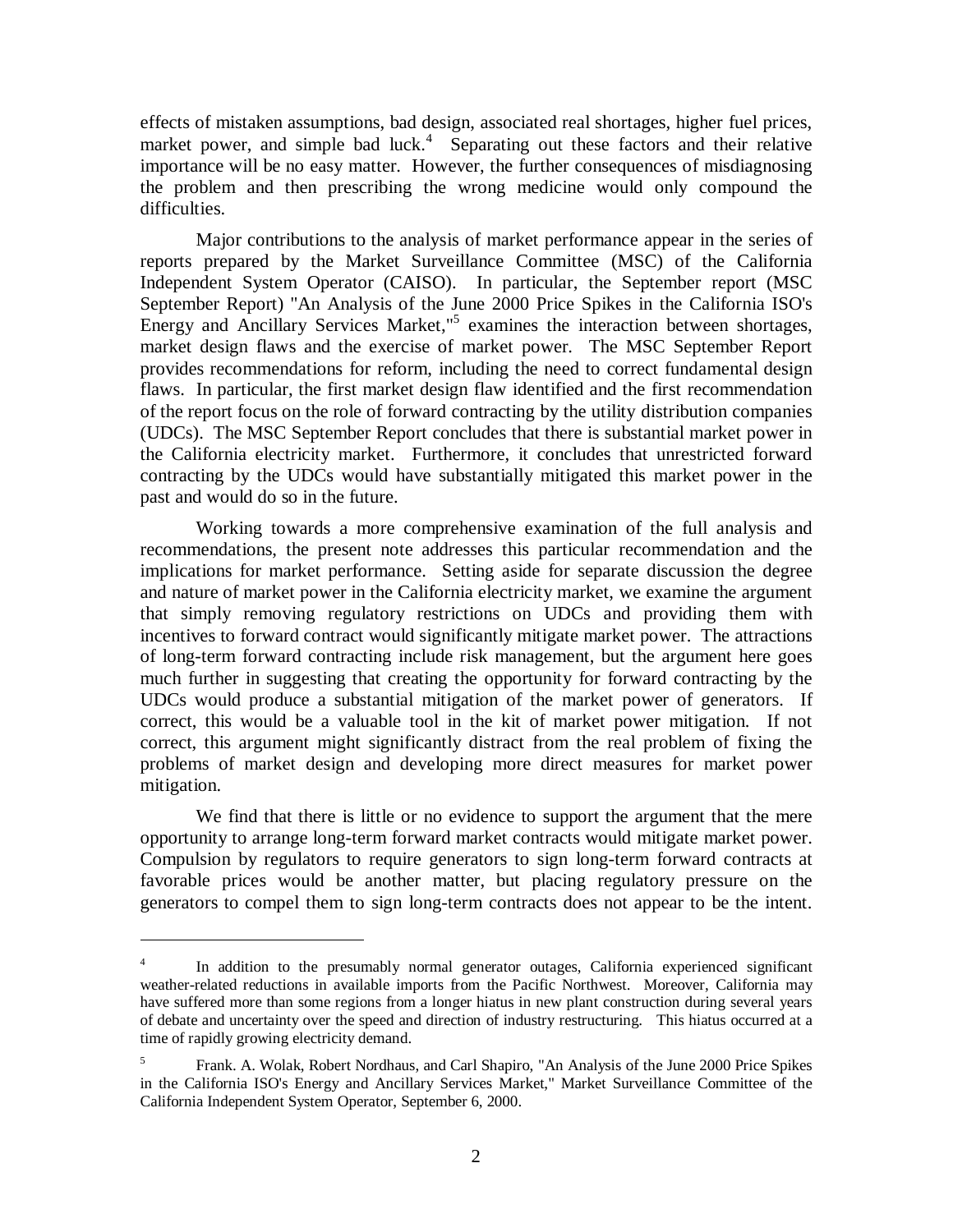effects of mistaken assumptions, bad design, associated real shortages, higher fuel prices, market power, and simple bad luck.<sup>4</sup> Separating out these factors and their relative importance will be no easy matter. However, the further consequences of misdiagnosing the problem and then prescribing the wrong medicine would only compound the difficulties.

Major contributions to the analysis of market performance appear in the series of reports prepared by the Market Surveillance Committee (MSC) of the California Independent System Operator (CAISO). In particular, the September report (MSC September Report) "An Analysis of the June 2000 Price Spikes in the California ISO's Energy and Ancillary Services Market,"<sup>5</sup> examines the interaction between shortages, market design flaws and the exercise of market power. The MSC September Report provides recommendations for reform, including the need to correct fundamental design flaws. In particular, the first market design flaw identified and the first recommendation of the report focus on the role of forward contracting by the utility distribution companies (UDCs). The MSC September Report concludes that there is substantial market power in the California electricity market. Furthermore, it concludes that unrestricted forward contracting by the UDCs would have substantially mitigated this market power in the past and would do so in the future.

Working towards a more comprehensive examination of the full analysis and recommendations, the present note addresses this particular recommendation and the implications for market performance. Setting aside for separate discussion the degree and nature of market power in the California electricity market, we examine the argument that simply removing regulatory restrictions on UDCs and providing them with incentives to forward contract would significantly mitigate market power. The attractions of long-term forward contracting include risk management, but the argument here goes much further in suggesting that creating the opportunity for forward contracting by the UDCs would produce a substantial mitigation of the market power of generators. If correct, this would be a valuable tool in the kit of market power mitigation. If not correct, this argument might significantly distract from the real problem of fixing the problems of market design and developing more direct measures for market power mitigation.

We find that there is little or no evidence to support the argument that the mere opportunity to arrange long-term forward market contracts would mitigate market power. Compulsion by regulators to require generators to sign long-term forward contracts at favorable prices would be another matter, but placing regulatory pressure on the generators to compel them to sign long-term contracts does not appear to be the intent.

<sup>&</sup>lt;sup>4</sup> In addition to the presumably normal generator outages, California experienced significant weather-related reductions in available imports from the Pacific Northwest. Moreover, California may have suffered more than some regions from a longer hiatus in new plant construction during several years of debate and uncertainty over the speed and direction of industry restructuring. This hiatus occurred at a time of rapidly growing electricity demand.

<sup>5</sup> Frank. A. Wolak, Robert Nordhaus, and Carl Shapiro, "An Analysis of the June 2000 Price Spikes in the California ISO's Energy and Ancillary Services Market," Market Surveillance Committee of the California Independent System Operator, September 6, 2000.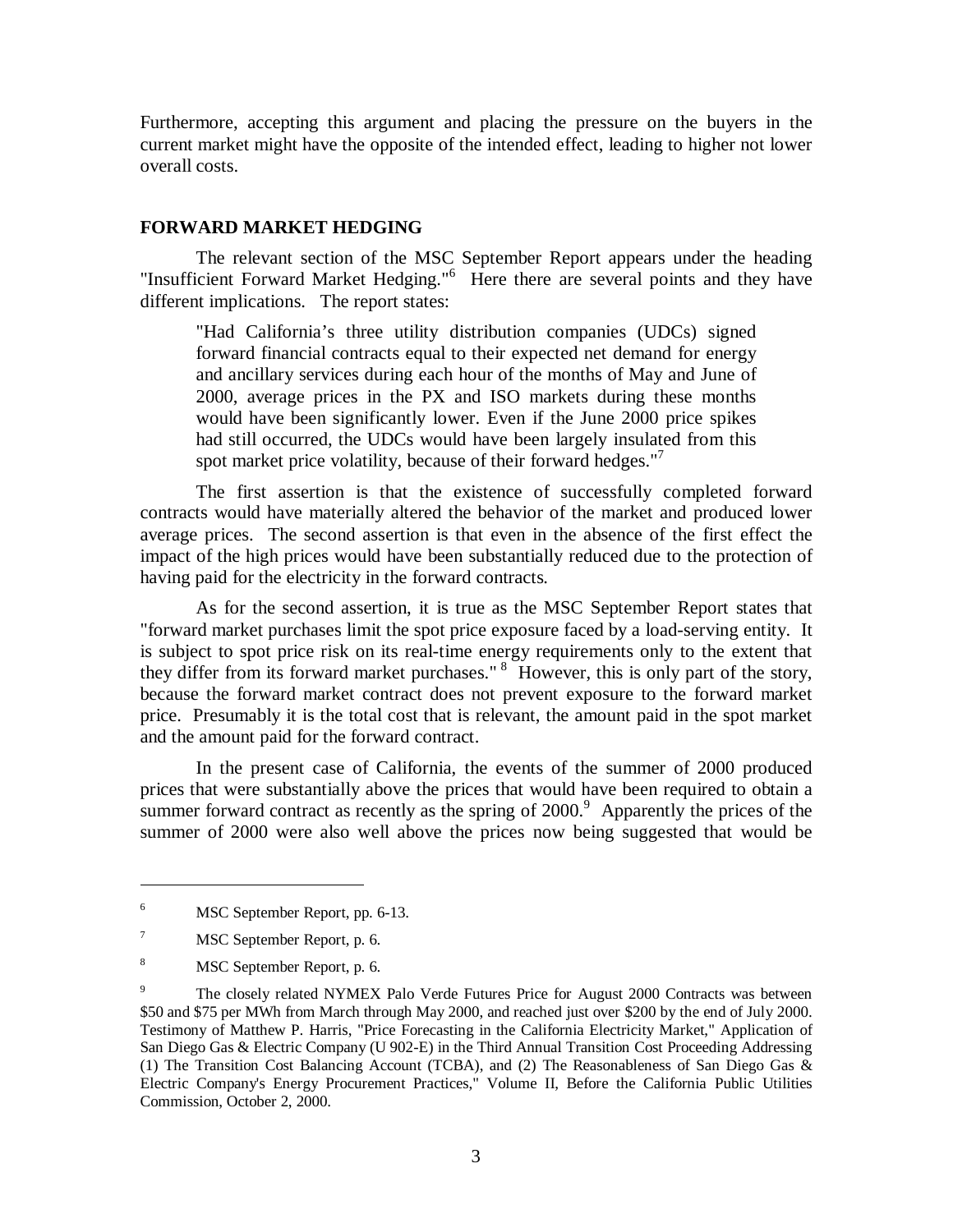Furthermore, accepting this argument and placing the pressure on the buyers in the current market might have the opposite of the intended effect, leading to higher not lower overall costs.

#### **FORWARD MARKET HEDGING**

The relevant section of the MSC September Report appears under the heading "Insufficient Forward Market Hedging."<sup>6</sup> Here there are several points and they have different implications. The report states:

"Had California's three utility distribution companies (UDCs) signed forward financial contracts equal to their expected net demand for energy and ancillary services during each hour of the months of May and June of 2000, average prices in the PX and ISO markets during these months would have been significantly lower. Even if the June 2000 price spikes had still occurred, the UDCs would have been largely insulated from this spot market price volatility, because of their forward hedges."<sup>7</sup>

The first assertion is that the existence of successfully completed forward contracts would have materially altered the behavior of the market and produced lower average prices. The second assertion is that even in the absence of the first effect the impact of the high prices would have been substantially reduced due to the protection of having paid for the electricity in the forward contracts.

As for the second assertion, it is true as the MSC September Report states that "forward market purchases limit the spot price exposure faced by a load-serving entity. It is subject to spot price risk on its real-time energy requirements only to the extent that they differ from its forward market purchases." 8 However, this is only part of the story, because the forward market contract does not prevent exposure to the forward market price. Presumably it is the total cost that is relevant, the amount paid in the spot market and the amount paid for the forward contract.

In the present case of California, the events of the summer of 2000 produced prices that were substantially above the prices that would have been required to obtain a summer forward contract as recently as the spring of  $2000$ .<sup>9</sup> Apparently the prices of the summer of 2000 were also well above the prices now being suggested that would be

<sup>6</sup> MSC September Report, pp. 6-13.

<sup>7</sup> MSC September Report, p. 6.

<sup>8</sup> MSC September Report, p. 6.

<sup>9</sup> The closely related NYMEX Palo Verde Futures Price for August 2000 Contracts was between \$50 and \$75 per MWh from March through May 2000, and reached just over \$200 by the end of July 2000. Testimony of Matthew P. Harris, "Price Forecasting in the California Electricity Market," Application of San Diego Gas & Electric Company (U 902-E) in the Third Annual Transition Cost Proceeding Addressing (1) The Transition Cost Balancing Account (TCBA), and (2) The Reasonableness of San Diego Gas & Electric Company's Energy Procurement Practices," Volume II, Before the California Public Utilities Commission, October 2, 2000.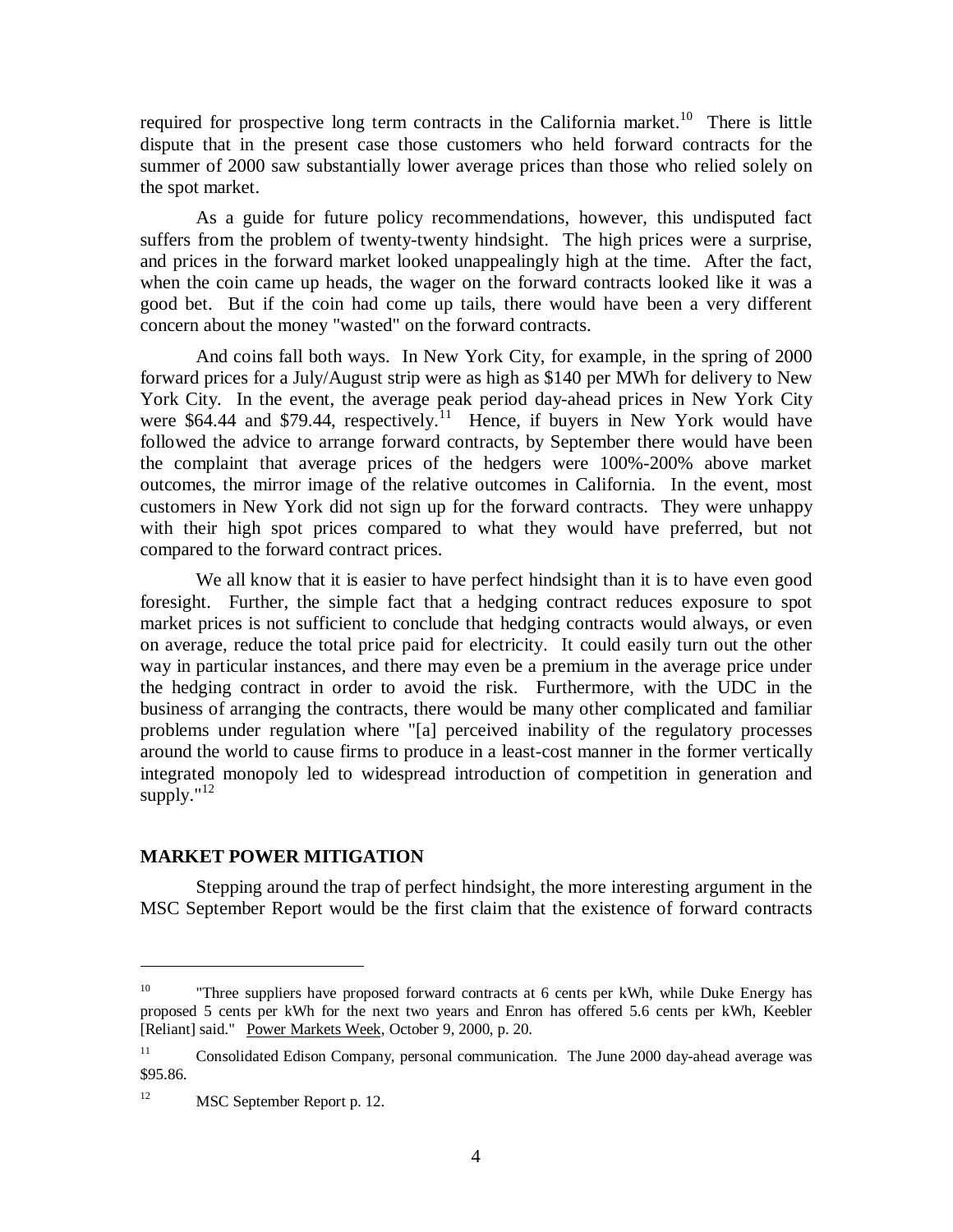required for prospective long term contracts in the California market.<sup>10</sup> There is little dispute that in the present case those customers who held forward contracts for the summer of 2000 saw substantially lower average prices than those who relied solely on the spot market.

As a guide for future policy recommendations, however, this undisputed fact suffers from the problem of twenty-twenty hindsight. The high prices were a surprise, and prices in the forward market looked unappealingly high at the time. After the fact, when the coin came up heads, the wager on the forward contracts looked like it was a good bet. But if the coin had come up tails, there would have been a very different concern about the money "wasted" on the forward contracts.

And coins fall both ways. In New York City, for example, in the spring of 2000 forward prices for a July/August strip were as high as \$140 per MWh for delivery to New York City. In the event, the average peak period day-ahead prices in New York City were \$64.44 and \$79.44, respectively.<sup>11</sup> Hence, if buyers in New York would have followed the advice to arrange forward contracts, by September there would have been the complaint that average prices of the hedgers were 100%-200% above market outcomes, the mirror image of the relative outcomes in California. In the event, most customers in New York did not sign up for the forward contracts. They were unhappy with their high spot prices compared to what they would have preferred, but not compared to the forward contract prices.

We all know that it is easier to have perfect hindsight than it is to have even good foresight. Further, the simple fact that a hedging contract reduces exposure to spot market prices is not sufficient to conclude that hedging contracts would always, or even on average, reduce the total price paid for electricity. It could easily turn out the other way in particular instances, and there may even be a premium in the average price under the hedging contract in order to avoid the risk. Furthermore, with the UDC in the business of arranging the contracts, there would be many other complicated and familiar problems under regulation where "[a] perceived inability of the regulatory processes around the world to cause firms to produce in a least-cost manner in the former vertically integrated monopoly led to widespread introduction of competition in generation and supply." $^{12}$ 

#### **MARKET POWER MITIGATION**

Stepping around the trap of perfect hindsight, the more interesting argument in the MSC September Report would be the first claim that the existence of forward contracts

<sup>&</sup>lt;sup>10</sup> "Three suppliers have proposed forward contracts at 6 cents per kWh, while Duke Energy has proposed 5 cents per kWh for the next two years and Enron has offered 5.6 cents per kWh, Keebler [Reliant] said." Power Markets Week, October 9, 2000, p. 20.

<sup>&</sup>lt;sup>11</sup> Consolidated Edison Company, personal communication. The June 2000 day-ahead average was \$95.86.

<sup>&</sup>lt;sup>12</sup> MSC September Report p. 12.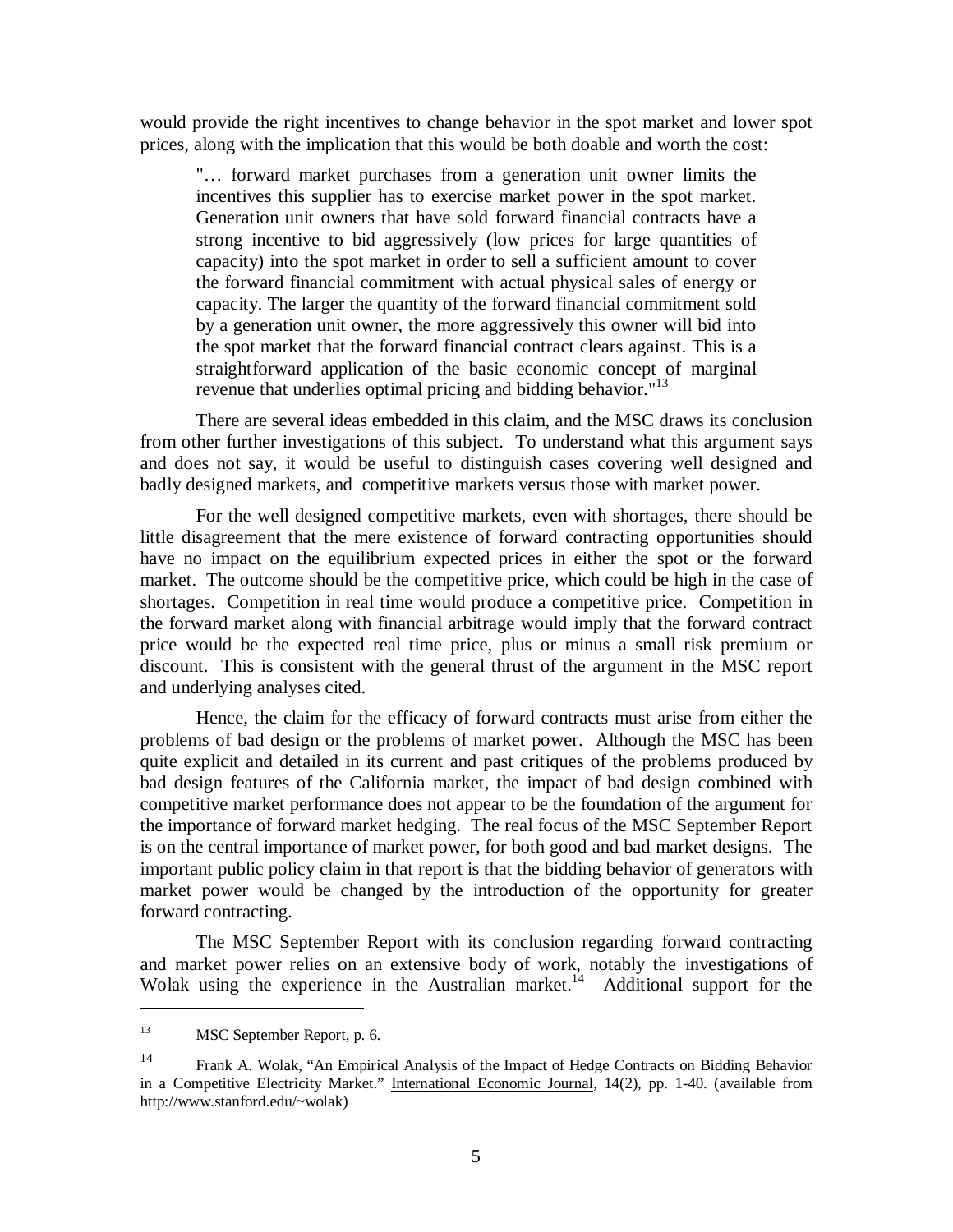would provide the right incentives to change behavior in the spot market and lower spot prices, along with the implication that this would be both doable and worth the cost:

"… forward market purchases from a generation unit owner limits the incentives this supplier has to exercise market power in the spot market. Generation unit owners that have sold forward financial contracts have a strong incentive to bid aggressively (low prices for large quantities of capacity) into the spot market in order to sell a sufficient amount to cover the forward financial commitment with actual physical sales of energy or capacity. The larger the quantity of the forward financial commitment sold by a generation unit owner, the more aggressively this owner will bid into the spot market that the forward financial contract clears against. This is a straightforward application of the basic economic concept of marginal revenue that underlies optimal pricing and bidding behavior."<sup>13</sup>

There are several ideas embedded in this claim, and the MSC draws its conclusion from other further investigations of this subject. To understand what this argument says and does not say, it would be useful to distinguish cases covering well designed and badly designed markets, and competitive markets versus those with market power.

For the well designed competitive markets, even with shortages, there should be little disagreement that the mere existence of forward contracting opportunities should have no impact on the equilibrium expected prices in either the spot or the forward market. The outcome should be the competitive price, which could be high in the case of shortages. Competition in real time would produce a competitive price. Competition in the forward market along with financial arbitrage would imply that the forward contract price would be the expected real time price, plus or minus a small risk premium or discount. This is consistent with the general thrust of the argument in the MSC report and underlying analyses cited.

Hence, the claim for the efficacy of forward contracts must arise from either the problems of bad design or the problems of market power. Although the MSC has been quite explicit and detailed in its current and past critiques of the problems produced by bad design features of the California market, the impact of bad design combined with competitive market performance does not appear to be the foundation of the argument for the importance of forward market hedging. The real focus of the MSC September Report is on the central importance of market power, for both good and bad market designs. The important public policy claim in that report is that the bidding behavior of generators with market power would be changed by the introduction of the opportunity for greater forward contracting.

The MSC September Report with its conclusion regarding forward contracting and market power relies on an extensive body of work, notably the investigations of Wolak using the experience in the Australian market.<sup>14</sup> Additional support for the

<sup>13</sup> MSC September Report, p. 6.

<sup>14</sup> Frank A. Wolak, "An Empirical Analysis of the Impact of Hedge Contracts on Bidding Behavior in a Competitive Electricity Market." International Economic Journal, 14(2), pp. 1-40. (available from http://www.stanford.edu/~wolak)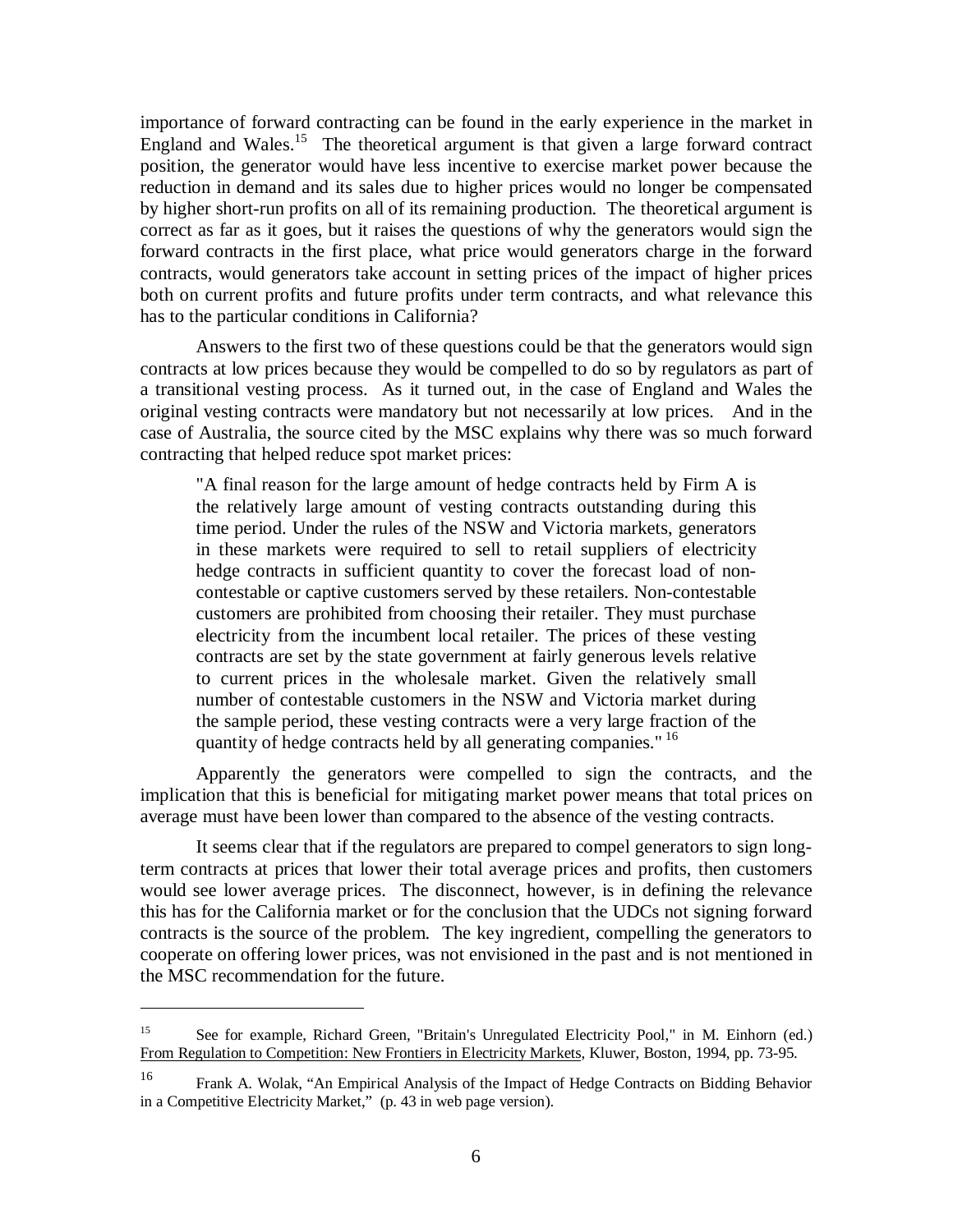importance of forward contracting can be found in the early experience in the market in England and Wales.<sup>15</sup> The theoretical argument is that given a large forward contract position, the generator would have less incentive to exercise market power because the reduction in demand and its sales due to higher prices would no longer be compensated by higher short-run profits on all of its remaining production. The theoretical argument is correct as far as it goes, but it raises the questions of why the generators would sign the forward contracts in the first place, what price would generators charge in the forward contracts, would generators take account in setting prices of the impact of higher prices both on current profits and future profits under term contracts, and what relevance this has to the particular conditions in California?

Answers to the first two of these questions could be that the generators would sign contracts at low prices because they would be compelled to do so by regulators as part of a transitional vesting process. As it turned out, in the case of England and Wales the original vesting contracts were mandatory but not necessarily at low prices. And in the case of Australia, the source cited by the MSC explains why there was so much forward contracting that helped reduce spot market prices:

"A final reason for the large amount of hedge contracts held by Firm A is the relatively large amount of vesting contracts outstanding during this time period. Under the rules of the NSW and Victoria markets, generators in these markets were required to sell to retail suppliers of electricity hedge contracts in sufficient quantity to cover the forecast load of noncontestable or captive customers served by these retailers. Non-contestable customers are prohibited from choosing their retailer. They must purchase electricity from the incumbent local retailer. The prices of these vesting contracts are set by the state government at fairly generous levels relative to current prices in the wholesale market. Given the relatively small number of contestable customers in the NSW and Victoria market during the sample period, these vesting contracts were a very large fraction of the quantity of hedge contracts held by all generating companies." <sup>16</sup>

Apparently the generators were compelled to sign the contracts, and the implication that this is beneficial for mitigating market power means that total prices on average must have been lower than compared to the absence of the vesting contracts.

It seems clear that if the regulators are prepared to compel generators to sign longterm contracts at prices that lower their total average prices and profits, then customers would see lower average prices. The disconnect, however, is in defining the relevance this has for the California market or for the conclusion that the UDCs not signing forward contracts is the source of the problem. The key ingredient, compelling the generators to cooperate on offering lower prices, was not envisioned in the past and is not mentioned in the MSC recommendation for the future.

<sup>15</sup> See for example, Richard Green, "Britain's Unregulated Electricity Pool," in M. Einhorn (ed.) From Regulation to Competition: New Frontiers in Electricity Markets, Kluwer, Boston, 1994, pp. 73-95.

<sup>16</sup> Frank A. Wolak, "An Empirical Analysis of the Impact of Hedge Contracts on Bidding Behavior in a Competitive Electricity Market," (p. 43 in web page version).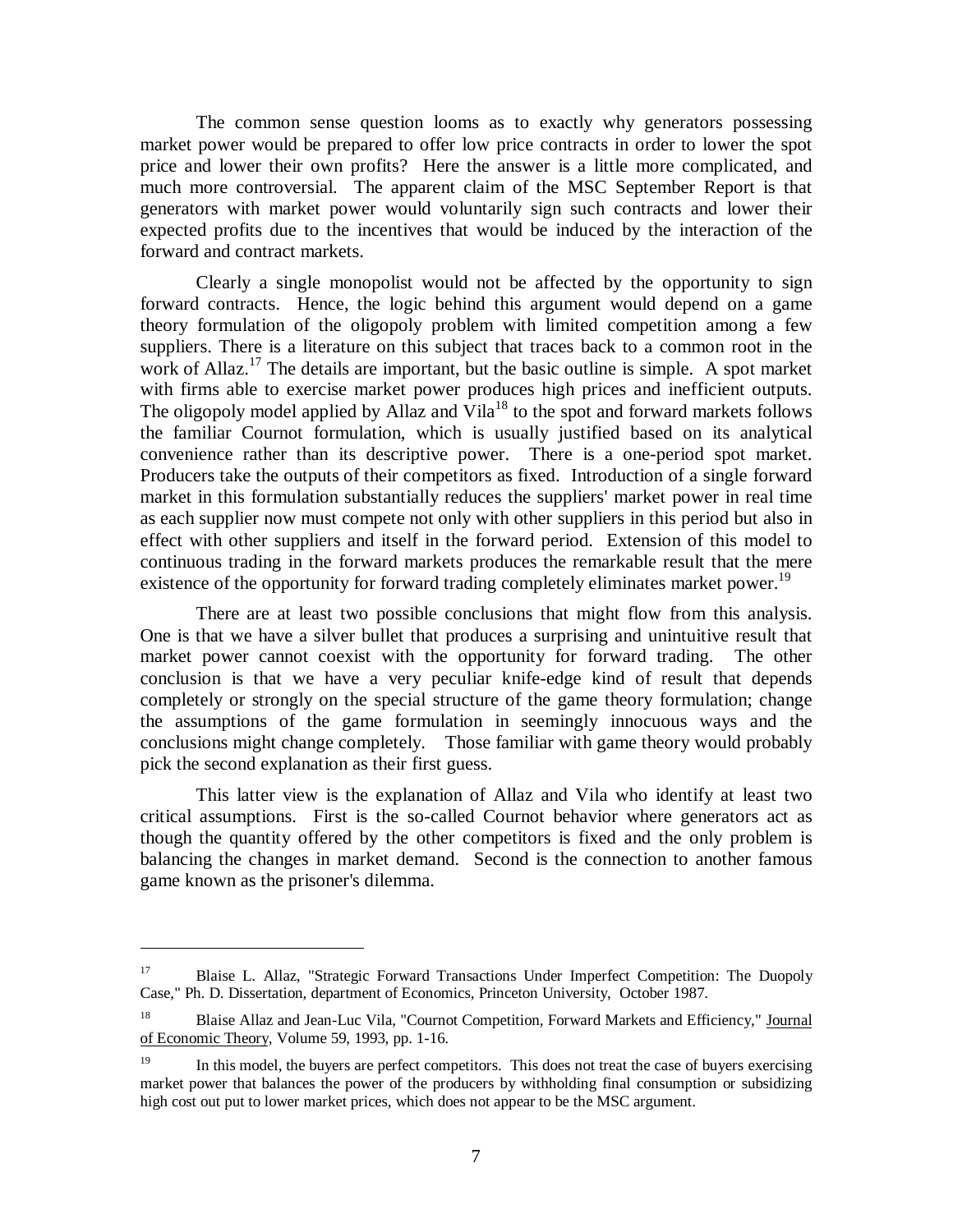The common sense question looms as to exactly why generators possessing market power would be prepared to offer low price contracts in order to lower the spot price and lower their own profits? Here the answer is a little more complicated, and much more controversial. The apparent claim of the MSC September Report is that generators with market power would voluntarily sign such contracts and lower their expected profits due to the incentives that would be induced by the interaction of the forward and contract markets.

Clearly a single monopolist would not be affected by the opportunity to sign forward contracts. Hence, the logic behind this argument would depend on a game theory formulation of the oligopoly problem with limited competition among a few suppliers. There is a literature on this subject that traces back to a common root in the work of Allaz.<sup>17</sup> The details are important, but the basic outline is simple. A spot market with firms able to exercise market power produces high prices and inefficient outputs. The oligopoly model applied by Allaz and Vila<sup>18</sup> to the spot and forward markets follows the familiar Cournot formulation, which is usually justified based on its analytical convenience rather than its descriptive power. There is a one-period spot market. Producers take the outputs of their competitors as fixed. Introduction of a single forward market in this formulation substantially reduces the suppliers' market power in real time as each supplier now must compete not only with other suppliers in this period but also in effect with other suppliers and itself in the forward period. Extension of this model to continuous trading in the forward markets produces the remarkable result that the mere existence of the opportunity for forward trading completely eliminates market power.<sup>19</sup>

There are at least two possible conclusions that might flow from this analysis. One is that we have a silver bullet that produces a surprising and unintuitive result that market power cannot coexist with the opportunity for forward trading. The other conclusion is that we have a very peculiar knife-edge kind of result that depends completely or strongly on the special structure of the game theory formulation; change the assumptions of the game formulation in seemingly innocuous ways and the conclusions might change completely. Those familiar with game theory would probably pick the second explanation as their first guess.

This latter view is the explanation of Allaz and Vila who identify at least two critical assumptions. First is the so-called Cournot behavior where generators act as though the quantity offered by the other competitors is fixed and the only problem is balancing the changes in market demand. Second is the connection to another famous game known as the prisoner's dilemma.

<sup>&</sup>lt;sup>17</sup> Blaise L. Allaz, "Strategic Forward Transactions Under Imperfect Competition: The Duopoly Case," Ph. D. Dissertation, department of Economics, Princeton University, October 1987.

<sup>&</sup>lt;sup>18</sup> Blaise Allaz and Jean-Luc Vila, "Cournot Competition, Forward Markets and Efficiency," Journal of Economic Theory, Volume 59, 1993, pp. 1-16.

<sup>&</sup>lt;sup>19</sup> In this model, the buyers are perfect competitors. This does not treat the case of buyers exercising market power that balances the power of the producers by withholding final consumption or subsidizing high cost out put to lower market prices, which does not appear to be the MSC argument.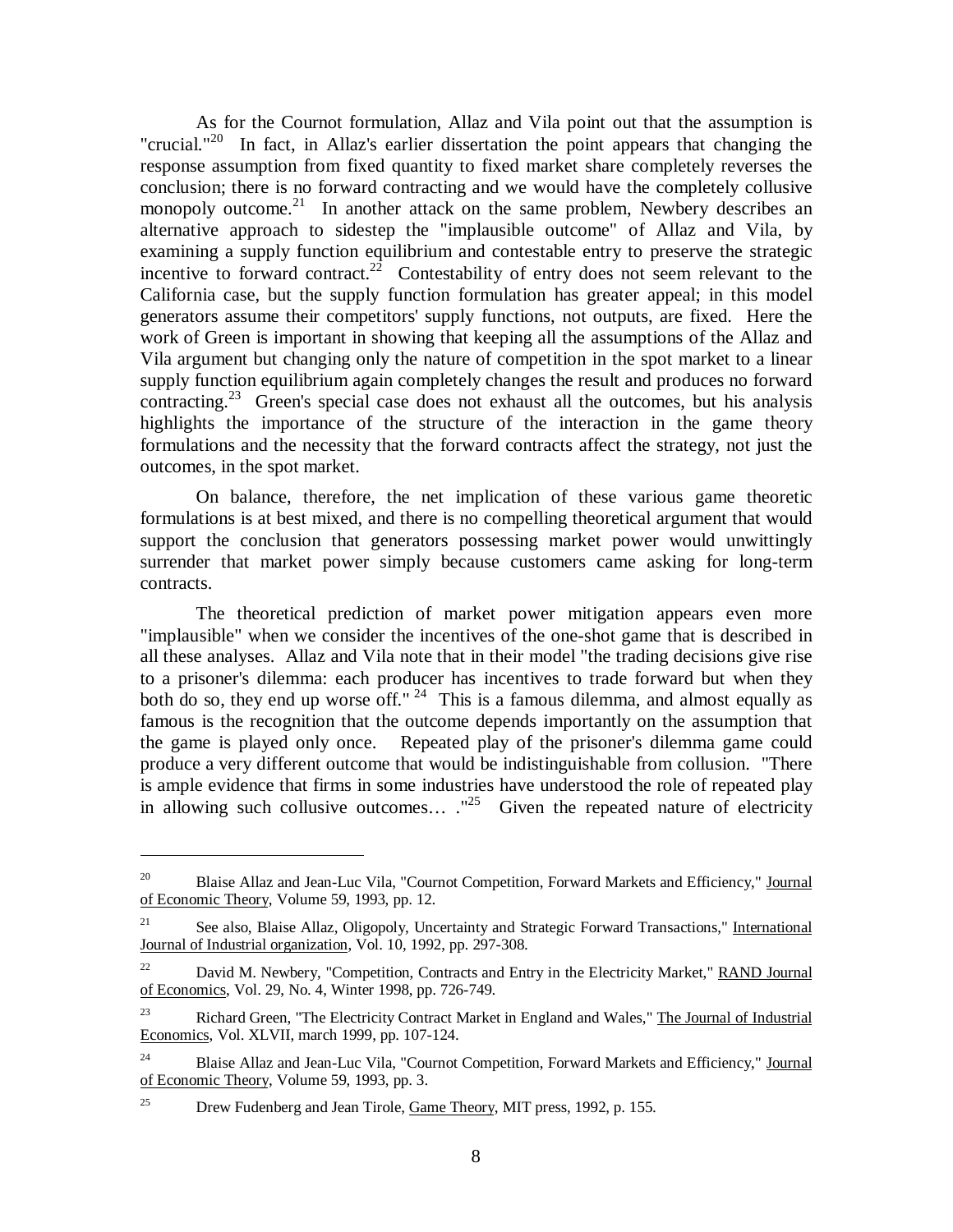As for the Cournot formulation, Allaz and Vila point out that the assumption is "crucial."<sup>20</sup> In fact, in Allaz's earlier dissertation the point appears that changing the response assumption from fixed quantity to fixed market share completely reverses the conclusion; there is no forward contracting and we would have the completely collusive monopoly outcome.<sup>21</sup> In another attack on the same problem, Newbery describes an alternative approach to sidestep the "implausible outcome" of Allaz and Vila, by examining a supply function equilibrium and contestable entry to preserve the strategic incentive to forward contract.<sup>22</sup> Contestability of entry does not seem relevant to the California case, but the supply function formulation has greater appeal; in this model generators assume their competitors' supply functions, not outputs, are fixed. Here the work of Green is important in showing that keeping all the assumptions of the Allaz and Vila argument but changing only the nature of competition in the spot market to a linear supply function equilibrium again completely changes the result and produces no forward contracting.<sup>23</sup> Green's special case does not exhaust all the outcomes, but his analysis highlights the importance of the structure of the interaction in the game theory formulations and the necessity that the forward contracts affect the strategy, not just the outcomes, in the spot market.

On balance, therefore, the net implication of these various game theoretic formulations is at best mixed, and there is no compelling theoretical argument that would support the conclusion that generators possessing market power would unwittingly surrender that market power simply because customers came asking for long-term contracts.

The theoretical prediction of market power mitigation appears even more "implausible" when we consider the incentives of the one-shot game that is described in all these analyses. Allaz and Vila note that in their model "the trading decisions give rise to a prisoner's dilemma: each producer has incentives to trade forward but when they both do so, they end up worse off."  $24$  This is a famous dilemma, and almost equally as famous is the recognition that the outcome depends importantly on the assumption that the game is played only once. Repeated play of the prisoner's dilemma game could produce a very different outcome that would be indistinguishable from collusion. "There is ample evidence that firms in some industries have understood the role of repeated play in allowing such collusive outcomes...  $.^{125}$  Given the repeated nature of electricity

<sup>&</sup>lt;sup>20</sup> Blaise Allaz and Jean-Luc Vila, "Cournot Competition, Forward Markets and Efficiency," Journal of Economic Theory, Volume 59, 1993, pp. 12.

<sup>&</sup>lt;sup>21</sup> See also, Blaise Allaz, Oligopoly, Uncertainty and Strategic Forward Transactions," International Journal of Industrial organization, Vol. 10, 1992, pp. 297-308.

 $22$  David M. Newbery, "Competition, Contracts and Entry in the Electricity Market," RAND Journal of Economics, Vol. 29, No. 4, Winter 1998, pp. 726-749.

<sup>&</sup>lt;sup>23</sup> Richard Green, "The Electricity Contract Market in England and Wales," The Journal of Industrial Economics, Vol. XLVII, march 1999, pp. 107-124.

<sup>&</sup>lt;sup>24</sup> Blaise Allaz and Jean-Luc Vila, "Cournot Competition, Forward Markets and Efficiency," Journal of Economic Theory, Volume 59, 1993, pp. 3.

<sup>&</sup>lt;sup>25</sup> Drew Fudenberg and Jean Tirole, Game Theory, MIT press, 1992, p. 155.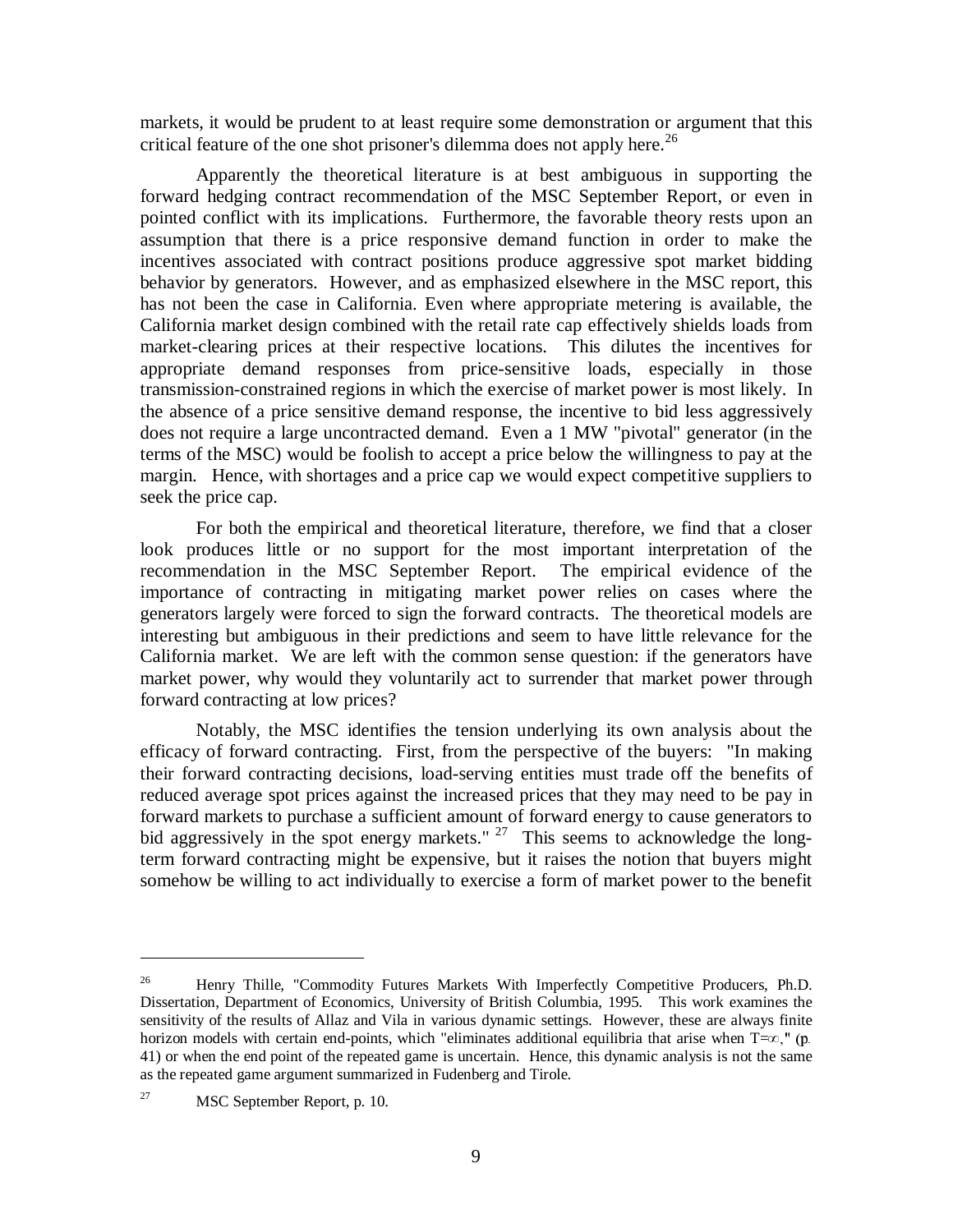markets, it would be prudent to at least require some demonstration or argument that this critical feature of the one shot prisoner's dilemma does not apply here.<sup>26</sup>

Apparently the theoretical literature is at best ambiguous in supporting the forward hedging contract recommendation of the MSC September Report, or even in pointed conflict with its implications. Furthermore, the favorable theory rests upon an assumption that there is a price responsive demand function in order to make the incentives associated with contract positions produce aggressive spot market bidding behavior by generators. However, and as emphasized elsewhere in the MSC report, this has not been the case in California. Even where appropriate metering is available, the California market design combined with the retail rate cap effectively shields loads from market-clearing prices at their respective locations. This dilutes the incentives for appropriate demand responses from price-sensitive loads, especially in those transmission-constrained regions in which the exercise of market power is most likely. In the absence of a price sensitive demand response, the incentive to bid less aggressively does not require a large uncontracted demand. Even a 1 MW "pivotal" generator (in the terms of the MSC) would be foolish to accept a price below the willingness to pay at the margin. Hence, with shortages and a price cap we would expect competitive suppliers to seek the price cap.

For both the empirical and theoretical literature, therefore, we find that a closer look produces little or no support for the most important interpretation of the recommendation in the MSC September Report. The empirical evidence of the importance of contracting in mitigating market power relies on cases where the generators largely were forced to sign the forward contracts. The theoretical models are interesting but ambiguous in their predictions and seem to have little relevance for the California market. We are left with the common sense question: if the generators have market power, why would they voluntarily act to surrender that market power through forward contracting at low prices?

Notably, the MSC identifies the tension underlying its own analysis about the efficacy of forward contracting. First, from the perspective of the buyers: "In making their forward contracting decisions, load-serving entities must trade off the benefits of reduced average spot prices against the increased prices that they may need to be pay in forward markets to purchase a sufficient amount of forward energy to cause generators to bid aggressively in the spot energy markets."  $27$  This seems to acknowledge the longterm forward contracting might be expensive, but it raises the notion that buyers might somehow be willing to act individually to exercise a form of market power to the benefit

<sup>&</sup>lt;sup>26</sup> Henry Thille, "Commodity Futures Markets With Imperfectly Competitive Producers, Ph.D. Dissertation, Department of Economics, University of British Columbia, 1995. This work examines the sensitivity of the results of Allaz and Vila in various dynamic settings. However, these are always finite horizon models with certain end-points, which "eliminates additional equilibria that arise when  $T=\infty$ ," (p. 41) or when the end point of the repeated game is uncertain. Hence, this dynamic analysis is not the same as the repeated game argument summarized in Fudenberg and Tirole.

<sup>&</sup>lt;sup>27</sup> MSC September Report, p. 10.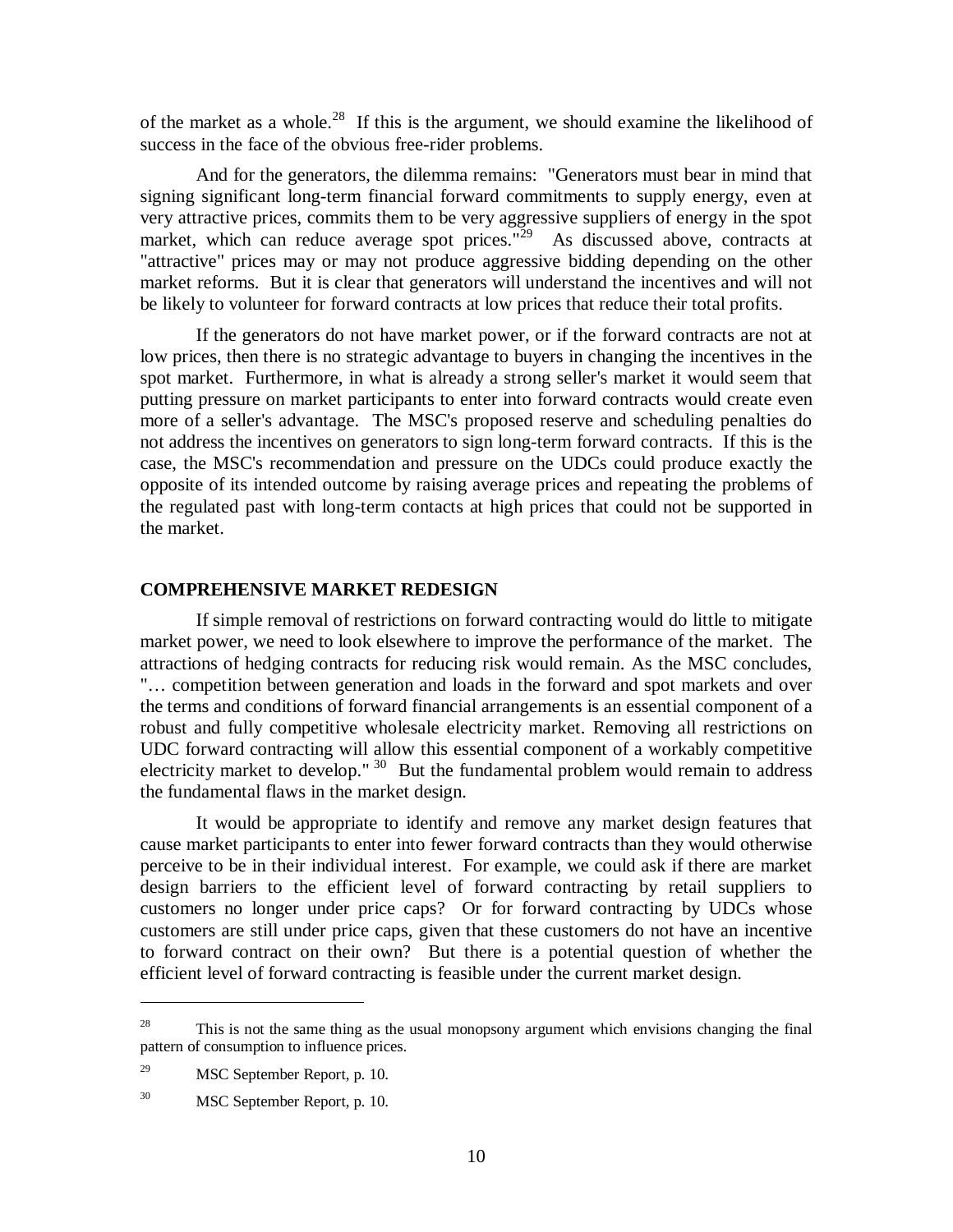of the market as a whole.<sup>28</sup> If this is the argument, we should examine the likelihood of success in the face of the obvious free-rider problems.

And for the generators, the dilemma remains: "Generators must bear in mind that signing significant long-term financial forward commitments to supply energy, even at very attractive prices, commits them to be very aggressive suppliers of energy in the spot market, which can reduce average spot prices."<sup>29</sup> As discussed above, contracts at "attractive" prices may or may not produce aggressive bidding depending on the other market reforms. But it is clear that generators will understand the incentives and will not be likely to volunteer for forward contracts at low prices that reduce their total profits.

If the generators do not have market power, or if the forward contracts are not at low prices, then there is no strategic advantage to buyers in changing the incentives in the spot market. Furthermore, in what is already a strong seller's market it would seem that putting pressure on market participants to enter into forward contracts would create even more of a seller's advantage. The MSC's proposed reserve and scheduling penalties do not address the incentives on generators to sign long-term forward contracts. If this is the case, the MSC's recommendation and pressure on the UDCs could produce exactly the opposite of its intended outcome by raising average prices and repeating the problems of the regulated past with long-term contacts at high prices that could not be supported in the market.

# **COMPREHENSIVE MARKET REDESIGN**

If simple removal of restrictions on forward contracting would do little to mitigate market power, we need to look elsewhere to improve the performance of the market. The attractions of hedging contracts for reducing risk would remain. As the MSC concludes, "… competition between generation and loads in the forward and spot markets and over the terms and conditions of forward financial arrangements is an essential component of a robust and fully competitive wholesale electricity market. Removing all restrictions on UDC forward contracting will allow this essential component of a workably competitive electricity market to develop." <sup>30</sup> But the fundamental problem would remain to address the fundamental flaws in the market design.

It would be appropriate to identify and remove any market design features that cause market participants to enter into fewer forward contracts than they would otherwise perceive to be in their individual interest. For example, we could ask if there are market design barriers to the efficient level of forward contracting by retail suppliers to customers no longer under price caps? Or for forward contracting by UDCs whose customers are still under price caps, given that these customers do not have an incentive to forward contract on their own? But there is a potential question of whether the efficient level of forward contracting is feasible under the current market design.

<sup>&</sup>lt;sup>28</sup> This is not the same thing as the usual monopsony argument which envisions changing the final pattern of consumption to influence prices.

<sup>29</sup> MSC September Report, p. 10.

<sup>30</sup> MSC September Report, p. 10.